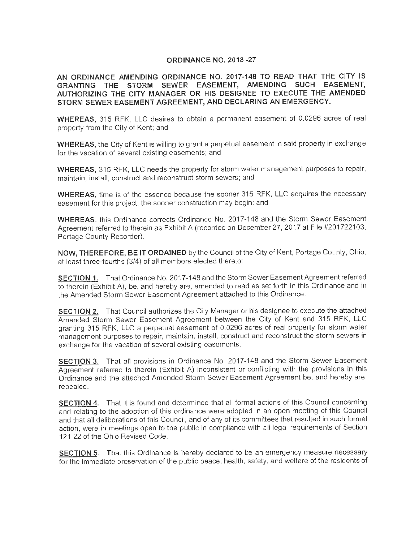#### **ORDINANCE NO. 2018 -27**

**AN ORDINANCE AMENDING ORDINANCE NO. 2017-148 TO READ THAT THE CITY IS GRANTING THE STORM SEWER EASEMENT, AMENDING SUCH EASEMENT, AUTHORIZING THE CITY MANAGER OR HIS DESIGNEE TO EXECUTE THE AMENDED STORM SEWER EASEMENT AGREEMENT, AND DECLARING AN EMERGENCY.** 

**WHEREAS,** 315 RFK, LLC desires to obtain a permanent easement of 0.0296 acres of real property from the City of Kent; and

**WHEREAS,** the City of Kent is willing to grant a perpetual easement in said property in exchange for the vacation of several existing easements; and

**WHEREAS,** 315 RFK, LLC needs the property for storm water management purposes to repair, maintain, install, construct and reconstruct storm sewers; and

**WHEREAS,** time is of the essence because the sooner 315 RFK, LLC acquires the necessary easement for this project, the sooner construction may begin; and

**WHEREAS,** this Ordinance corrects Ordinance No. 2017-148 and the Storm Sewer Easement Agreement referred to therein as Exhibit A (recorded on December 27, 2017 at File #201722103, Portage County Recorder).

**NOW, THEREFORE, BE IT ORDAINED** by the Council of the City of Kent, Portage County, Ohio, at least three-fourths (3/4) of all members elected thereto:

**SECTION 1.** That Ordinance No. 2017-148 and the Storm Sewer Easement Agreement referred to therein (Exhibit A), be, and hereby are, amended to read as set forth in this Ordinance and in the Amended Storm Sewer Easement Agreement attached to this Ordinance.

**SECTION 2.** That Council authorizes the City Manager or his designee to execute the attached Amended Storm Sewer Easement Agreement between the City of Kent and 315 RFK, LLC granting 315 RFK, LLC a perpetual easement of 0.0296 acres of real property for storm water management purposes to repair, maintain, install, construct and reconstruct the storm sewers in exchange for the vacation of several existing easements.

**SECTION 3.** That all provisions in Ordinance No. 2017-148 and the Storm Sewer Easement Agreement referred to therein (Exhibit A) inconsistent or conflicting with the provisions in this Ordinance and the attached Amended Storm Sewer Easement Agreement be, and hereby are, repealed.

**SECTION 4.** That it is found and determined that all formal actions of this Council concerning and relating to the adoption of this ordinance were adopted in an open meeting of this Council and that all deliberations of this Council, and of any of its committees that resulted in such formal action, were in meetings open to the public in compliance with all legal requirements of Section 121.22 of the Ohio Revised Code.

**SECTION 5.** That this Ordinance is hereby declared to be an emergency measure necessary for the immediate preservation of the public peace, health, safety, and welfare of the residents of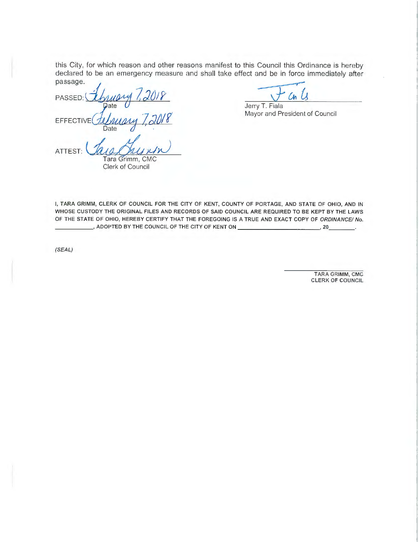this City, for which reason and other reasons manifest to this Council this Ordinance is hereby declared to be an emergency measure and shall take effect and be in force immediately after passage.<br>PASSED:  $\frac{1}{2}$  *J*/*y* declared to be an emergency measure and shall take effect and be in force immediately after passage.

*1*  EFFECTIVE  $A$ *l surgery*  $7,2018$ 

Ch

Jerry T. Fiala Mayor and President of Council

**ATTEST:**  $\frac{\mathcal{A}\mathcal{A}\mathcal{A}}{\mathcal{A}\mathcal{A}}$  **ALL** Clerk of Council

I, TARA GRIMM, CLERK OF COUNCIL FOR THE CITY OF KENT, COUNTY OF PORTAGE, AND STATE OF OHIO, AND IN WHOSE CUSTODY THE ORIGINAL FILES AND RECORDS OF SAID COUNCIL ARE REQUIRED TO BE KEPT BY THE LAWS OF THE STATE OF OHIO, HEREBY CERTIFY THAT THE FOREGOING IS A TRUE AND EXACT COPY OF ORDINANCE/ No. \_\_\_\_\_ , ADOPTED BY THE COUNCIL OF THE CITY OF KENT ON \_\_\_\_\_\_\_\_\_\_ \_ , 20. \_\_ \_

(SEAL)

TARA GRIMM, CMG CLERK OF COUNCIL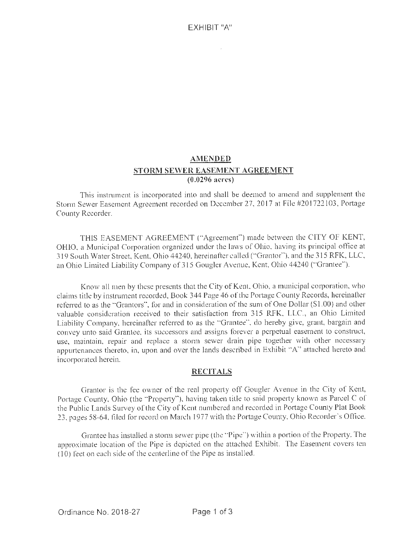## **AMENDED STORM SEWER EASEMENT AGREEMENT (0.0296 acres)**

This instrument is incorporated into and shall be deemed to amend and supplement the Storm Sewer Easement Agreement recorded on December 27, 2017 at File #201722103, Portage County Recorder.

THIS EASEMENT AGREEMENT ("Agreement") made between the CITY OF KENT, OHIO, a Municipal Corporation organized under the laws of Ohio, having its principal office at 319 South Water Street, Kent, Ohio 44240, hereinafter called ("Grantor"), and the 315 RFK, LLC, an Ohio Limited Liability Company of 315 Gougler Avenue. Kent, Ohio 44240 ("Grantee'').

Know all men by these presents that the City of Kent, Ohio, a municipal corporation, who claims title by instrument recorded, Book 344 Page 46 of the Portage County Records, hereinafter referred to as the "Grantors", for and in consideration of the sum of One Dollar (\$1.00) and other valuable consideration received to their satisfaction from 315 RFK, LLC., an Ohio Limited Liability Company, hereinafter referred to as the "Grantee", do hereby give, grant, bargain and convey unto said Grantee, its successors and assigns forever a pervetual easement to construct, use, maintain, repair and replace a storm sewer drain pipe together with other necessary appurtenances thereto, in, upon and over the lands described in Exhibit ·'A" attached hereto and incorporated herein.

#### **RECITALS**

Grantor is the fee owner of the real property off Gougler Avenue in the City of Kent, Portage County, Ohio (the "Property"), having taken title to said property known as Parcel C of the Public Lands Survey of the City of Kent numbered and recorded in Portage County Plat Book 23, pages 58-64, fi led for record on March 1977 with the Portage County. Ohio Recorder's Office.

Grantee has installed a storm sewer pipe (the ·'Pipe'") within a portion of the Property. The approximate location of the Pipe is depicted on the attached Exhibit. The Easement covers ten  $(10)$  feet on each side of the centerline of the Pipe as installed.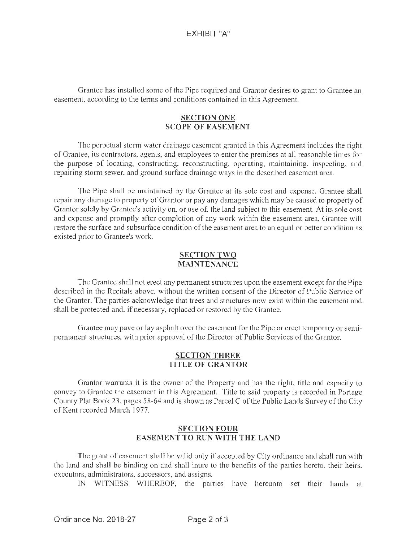Grantee has installed some of the Pipe required and Grantor desires to grant to Grantee an easement, according to the terms and conditions contained in this Agreement.

### **SECTION ONE SCOPE OF EASEMENT**

The perpetual storm water drainage easement granted in this Agreement includes the right of Grantee, its contractors, agents, and employees to enter the premises at all reasonable times for the purpose of locating, constructing, reconstructing, operating, maintaining, inspecting, and repairing storm sewer, and ground surface drainage ways in the described easement area.

The Pipe shall be maintained by the Grantee at its sole cost and expense. Grantee shall repair any damage to property of Grantor or pay any damages which may be caused to property of Grantor solely by Grantee's activity on, or use of, the land subject to this easement. At its sole cost and expense and promptly after completion of any work within the easement area, Grantee will restore the surface and subsurface condition of the easement area to an equal or better condition as existed prior to Grantee's work.

### **SECTION TWO MAINTENANCE**

The Grantee shall not erect any permanent structures upon the easement except for the Pipe described in the Recitals above, without the written consent of the Director of Public Service of the Grantor. The parties acknowledge that trees and structures now exist within the easement and shall be protected and, if necessary, replaced or restored by the Grantee.

Grantee may pave or lay asphalt over the easement for the Pipe or erect temporary or semipermanent structures, with prior approval of the Director of Public Services of the Grantor.

#### **SECTION THREE TITLE OF GRANTOR**

Grantor warrants it is the owner of the Property and has the right, title and capacity to convey to Grantee the easement in this Agreement. Title to said property is recorded in Portage County Plat Book 23, pages 58-64 and is shown as Parcel C of the Public Lands Survey of the City of Kent recorded March 1977.

### **SECTION FOUR EASEMENT TO RUN WITH THE LAND**

The grant of easement shall be valid only if accepted by City ordinance and shall run with the land and shall be binding on and shall inure to the benefits of the parties hereto, their heirs, executors, administrators, successors, and assigns.

IN WITNESS WHEREOF, the parties have hereunto set their hands at